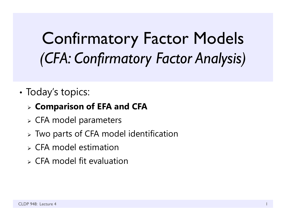# Confirmatory Factor Models *(CFA: Confirmatory Factor Analysis)*

•• Today's topics:

## **Comparison of EFA and CFA**

- CFA model parameters
- Two parts of CFA model identification
- $\triangleright$  CFA model estimation
- $\triangleright$  CFA model fit evaluation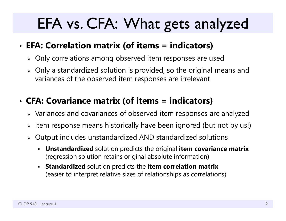## EFA vs. CFA: What gets analyzed

#### •**EFA: Correlation matrix (of items = indicators)**

- $\triangleright$  Only correlations among observed item responses are used
- $\triangleright$  Only a standardized solution is provided, so the original means and variances of the observed item responses are irrelevant

#### •**CFA: Covariance matrix (of items = indicators)**

- $\triangleright$  Variances and covariances of observed item responses are analyzed
- $\blacktriangleright$ Item response means historically have been ignored (but not by us!)
- $\triangleright$  Output includes unstandardized AND standardized solutions
	- **Unstandardized** solution predicts the original **item covariance matrix** (regression solution retains original absolute information)
	- **Standardized** solution predicts the **item correlation matrix**  (easier to interpret relative sizes of relationships as correlations)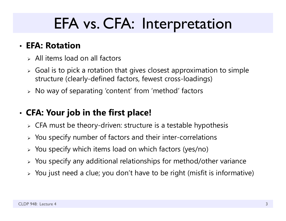## EFA vs. CFA: Interpretation

## • **EFA: Rotation**

- $>$  All items load on all factors
- $\triangleright$  Goal is to pick a rotation that gives closest approximation to simple structure (clearly-defined factors, fewest cross-loadings)
- $\triangleright\;$  No way of separating 'content' from 'method' factors

#### •**CFA: Your job in the first place!**

- $\triangleright$  CFA must be theory-driven: structure is a testable hypothesis
- $\triangleright$  You specify number of factors and their inter-correlations
- $\triangleright$  You specify which items load on which factors (yes/no)
- $\triangleright$  You specify any additional relationships for method/other variance
- $\triangleright\;$  You just need a clue; you don't have to be right (misfit is informative)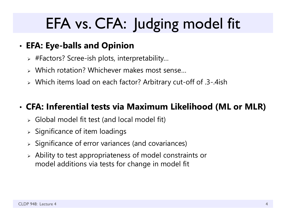# EFA vs. CFA: Judging model fit

#### •**EFA: Eye-balls and Opinion**

- #Factors? Scree-ish plots, interpretability…
- Which rotation? Whichever makes most sense…
- Which items load on each factor? Arbitrary cut-off of .3-.4ish

#### •**CFA: Inferential tests via Maximum Likelihood (ML or MLR)**

- Global model fit test (and local model fit)
- $\triangleright$  Significance of item loadings
- $\triangleright$  Significance of error variances (and covariances)
- $\triangleright$  Ability to test appropriateness of model constraints or model additions via tests for change in model fit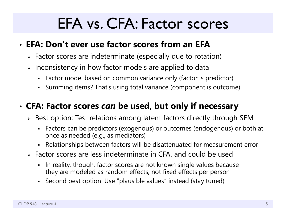## EFA vs. CFA: Factor scores

### • **EFA: Don't ever use factor scores from an EFA**

- $\triangleright$  Factor scores are indeterminate (especially due to rotation)
- $\triangleright$  Inconsistency in how factor models are applied to data
	- Factor model based on common variance only (factor is predictor)
	- Summing items? That's using total variance (component is outcome)

## • **CFA: Factor scores** *can* **be used, but only if necessary**

- $\triangleright$  Best option: Test relations among latent factors directly through SEM
	- Factors can be predictors (exogenous) or outcomes (endogenous) or both at once as needed (e.g., as mediators)
	- Relationships between factors will be disattenuated for measurement error
- Factor scores are less indeterminate in CFA, and could be used
	- In reality, though, factor scores are not known single values because they are modeled as random effects, not fixed effects per perso n
	- Second best option: Use "plausible values" instead (stay tuned)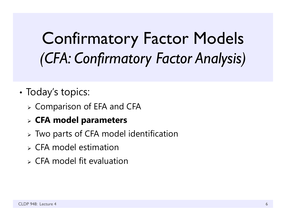# Confirmatory Factor Models *(CFA: Confirmatory Factor Analysis)*

#### •• Today's topics:

- Comparison of EFA and CFA
- **CFA model parameters**
- Two parts of CFA model identification
- $\triangleright$  CFA model estimation
- $\triangleright$  CFA model fit evaluation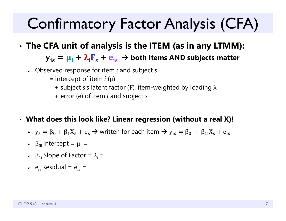# Confirmatory Factor Analysis (CFA)

#### •**The CFA unit of analysis is the ITEM (as in any LTMM):**

 ${\bf y}_{\rm is} = {\bf \mu}_{\rm i} + {\bf \lambda}_{\rm i}{\bf F}_{\rm s} + {\bf e}_{\rm is} \, \to$  both items AND subjects matter

- Observed response for item *i* and subject *s*
	- = intercept of item *i* (μ)
		- + subject *<sup>s</sup>*'s latent factor ( <sup>F</sup>), item-weighted by loading λ
		- + error ( <sup>e</sup>) of item *i* and subject *s*

### • **What does this look like? Linear regression (without a real X)!**

- $y_{\rm s} = \beta_0 + \beta_1 X_{\rm s} + \rm e_s \rightarrow$  written for each item  $\rightarrow y_{\rm is} = \beta_{0i} + \beta_{1i} X_{\rm s} + \rm e_{is}$
- $\triangleright$  β<sub>0i</sub> Intercept =  $\mu$ <sub>i</sub> =
- $\triangleright$  β<sub>1i</sub> Slope of Factor =  $\lambda_i$  =
- $e$ <sub>is</sub> Residual =  $e$ <sub>is</sub> =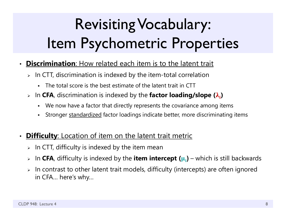# Revisiting Vocabulary: Item Psychometric Properties

- $\bullet$  **Discrimination**: How related each item is to the latent trait
	- $\triangleright$  In CTT, discrimination is indexed by the item-total correlation
		- The total score is the best estimate of the latent trait in CTT
	- > In CFA, discrimination is indexed by the factor loading/slope ( $\lambda_i$ )
		- We now have a factor that directly represents the covariance among items
		- n Stronger standardized factor loadings indicate better, more discriminating items
- $\bullet$ **Difficulty:** Location of item on the latent trait metric
	- $\triangleright$  In CTT, difficulty is indexed by the item mean
	- $\blacktriangleright$ > In **CFA**, difficulty is indexed by the **item intercept (µ**<sub>i</sub>) – which is still backwards
	- $\blacktriangleright$  In contrast to other latent trait models, difficulty (intercepts) are often ignored in CFA… here's why…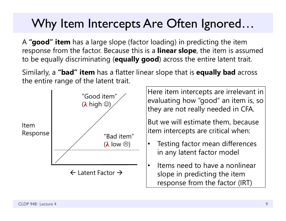## Why Item Intercepts Are Often Ignored…

A **"good" item** has a large slope (factor loading) in predicting the item response from the factor. Because this is a **linear slope**, the item is assumed to be equally discriminating (**equally good**) across the entire latent trait.

Similarly, a **"bad" item** has a flatter linear slope that is **equally bad** across the entire range of the latent trait.



Here item intercepts are irrelevant in evaluating how "good" an item is, so they are not really needed in CFA.

But we will estimate them, because item intercepts are critical when:

- • Testing factor mean differences in any latent factor model
- • Items need to have a nonlinear slope in predicting the item response from the factor (IRT)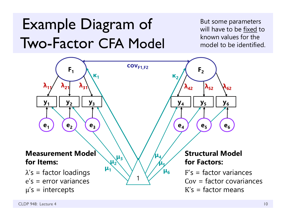## Example Diagram of Two-Factor CFA Model

But some parameters will have to be fixed to known values for the model to be identified.

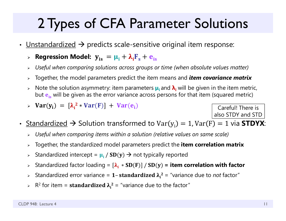## 2 Types of CFA Parameter Solutions

- •• <u>Unstandardized</u>  $\rightarrow$  predicts scale-sensitive original item response:
	- $\triangleright$  Regression Model:  $\mathbf{y_{is}} = \mathbf{\mu_i} + \mathbf{\lambda_i}\mathbf{F_s} + \mathbf{e_{is}}$
	- $\blacktriangleright$ *Useful when comparing solutions across groups or time (when absolute values matter)*
	- $\blacktriangleright$ Together, the model parameters predict the item means and *item covariance matrix*
	- $\blacktriangleright$  Note the solution asymmetry: item parameters **μi** and **λi** will be given in the item metric, but  $\mathbf{e_{is}}$  will be given as the error variance across persons for that item (squared metric)
	- $\triangleright$  Var(y<sub>i</sub>) =  $[\lambda_i^2 * Var(F)] + Var(e_i)$

Careful! There is also STDY and STD

- $\bullet$ • <u>Standardized</u>  $\rightarrow$  Solution transformed to Var $(y_i)=1$ , Var $(F)=1$  via <code>STDYX</code>:
	- *Useful when comparing items within a solution (relative values on same scale)*
	- $\blacktriangleright$ Together, the standardized model parameters predict the **item correlation matrix**
	- $\blacktriangleright$ > Standardized intercept =  $\mu_i / SD(y) \rightarrow$  not typically reported
	- $\blacktriangleright$ Standardized factor loading =  $[\lambda_i * SD(F)] / SD(y)$  = item correlation with factor
	- $\blacktriangleright$  $\triangleright$  Standardized error variance = 1- standardized  $\lambda_i^2$  = "variance due to *not* factor"
	- $\triangleright$  R<sup>2</sup> for item = **standardized**  $\lambda_i^2$  = "variance due to the factor"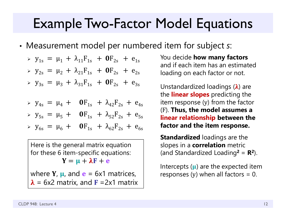## Example Two-Factor Model Equations

•Measurement model per numbered item for subject *s*:

$$
\triangleright \ y_{1s} = \mu_1 + \lambda_{11} F_{1s} + \mathbf{0} F_{2s} + e_{1s}
$$

$$
y_{2s} = \mu_2 + \lambda_{21}F_{1s} + \mathbf{0}F_{2s} + e_{2s}
$$

$$
\triangleright \ y_{3s} = \mu_3 + \lambda_{31} F_{1s} + \mathbf{0} F_{2s} + e_{3s}
$$

$$
\triangleright \ \ y_{4s} = \mu_4 + \mathbf{0} F_{1s} + \lambda_{42} F_{2s} + e_{4s}
$$

$$
y_{5s} = \mu_5 + \mathbf{0}F_{1s} + \lambda_{52}F_{2s} + e_{5s}
$$

$$
\triangleright \ y_{6s} = \mu_6 + \mathbf{0} F_{1s} + \lambda_{62} F_{2s} + e_{6s}
$$

Here is the general matrix equation for these 6 item-specific equations:  $\mathbf{Y} = \mathbf{\mu} + \mathbf{\lambda} \mathbf{F} + \mathbf{e}$ 

where  $Y$ ,  $\mu$ , and  $\mathbf{e}$  = 6x1 matrices,  $\boldsymbol{\lambda}$  = 6x2 matrix, and **F** =2x1 matrix

You decide **how many factors**  and if each item has an estimated loading on each factor or not.

Unstandardized loadings ( $\pmb{\lambda}$ ) are the **linear slopes** predicting the item response ( y) from the factor (F). **Thus, the model assumes a linear relationship between the factor and the item response.**

**Standardized** loadings are the slopes in a **correlation** metric (and Standardized Loading **2** = **R 2**).

Intercepts ( $\mu$ ) are the expected item responses ( y) when all factors = 0.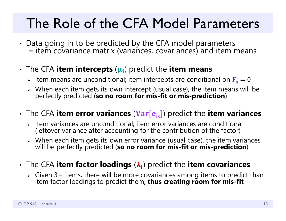## The Role of the CFA Model Parameters

- Data going in to be predicted by the CFA model parameters Data going in to be predicted by the CFA model parameters = item covariance matrix (variances, covariances) and item mean s
- • The CFA **item intercepts**  ( ) predict the **item means**
	- $\triangleright$   $\;$  Item means are unconditional; item intercepts are conditional on  ${\bf F_s} = 0$
	- When each item gets its own intercept (usual case), the item means will be perfectly predicted (**so no room for mis-fit or mis-prediction**)
- $\cdot$  The CFA **item error variances (Var[e<sub>is</sub>]**) predict the **item variances** 
	- $\triangleright$  Item variances are unconditional; item error variances are conditional (leftover variance after accounting for the contribution of the factor)
	- $\triangleright$  When each item gets its own error variance (usual case), the item variances will be perfectly predicted (so no room for mis-fit or mis-prediction)
- •**• The CFA item factor loadings (** $\lambda_i$ **) predict the item covariances** 
	- $\triangleright$  Given 3+ items, there will be more covariances among items to predict than item factor loadings to predict them, **thus creating room for mis-fit**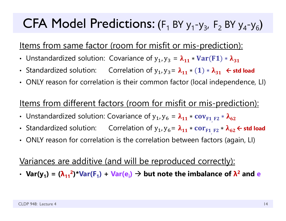## CFA Model Predictions:  $(F_1$  BY  $y_1$ - $y_3$ ,  $F_2$  BY  $y_4$ - $y_6$ )

## Items from same factor (room for misfit or mis-prediction):

- Unstandardized solution: Covariance of  $y_1, y_3 = \lambda_{11} * Var(F1) * \lambda_{31}$
- Standardized solution: Correlation of  $y_1$ ,  $y_3 = \lambda_{11} * (1) * \lambda_{31}$   $\leftarrow$  std load
- ONLY reason for correlation is their common factor (local independence, LI)

### Items from different factors (room for misfit or mis-prediction):

- Unstandardized solution: Covariance of  $\bm{{\mathsf{y}}}_\textbf{1}$ ,  $\bm{{\mathsf{y}}}_\textbf{6}$  $= \lambda_{11}$ \*  ${\rm cov}_{F1_{,}F2} * \lambda_{62}$
- Standardized solution: Correlation of  $\mathsf{y}_\mathtt{1}$ ,  $\mathsf{y}_\mathtt{6}$  $= \lambda_{11}$ \*  $\text{cor}_{\text{F1}_{\text{F2}}}$  \*  $\lambda_{62}$   $\leftarrow$  std load
- ONLY reason for correlation is the correlation between factors (again, LI)

### Variances are additive (and will be reproduced correctly):

 $\cdot$  Var(y<sub>1</sub>) = ( $\lambda_{11}^2$ )\*Var(F<sub>1</sub>) + Var(e<sub>i</sub>)  $\rightarrow$  but note the imbalance of  $\lambda^2$  and e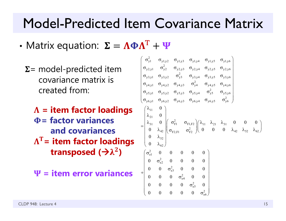## Model-Predicted Item Covariance Matrix

- •• Matrix equation:  $\boldsymbol{\Sigma} = \boldsymbol{\Lambda} \boldsymbol{\Phi} \boldsymbol{\Lambda}^{\textrm{T}}$ 
	- $\Sigma$  = model-predicted item covariance matrix iscreated from:
		- **= item factor loadings = factor variancesand covariances** $\boldsymbol{\Lambda}^\text{T}\texttt{=}$  item factor loadings **transposed (**  $\bf{2}$ **)**
		- **W** = item error variances

$$
\begin{pmatrix}\n\sigma_{y1}^{2} & \sigma_{y1,y2} & \sigma_{y1,y3} & \sigma_{y1,y4} & \sigma_{y1,y5} & \sigma_{y1,y6} \\
\sigma_{y2,y1} & \sigma_{y2}^{2} & \sigma_{y2,y3} & \sigma_{y2,y4} & \sigma_{y2,y5} & \sigma_{y2,y6} \\
\sigma_{y3,y1} & \sigma_{y3,y2} & \sigma_{y3}^{2} & \sigma_{y3,y4} & \sigma_{y3,y5} & \sigma_{y3,y6} \\
\sigma_{y4,y1} & \sigma_{y4,y2} & \sigma_{y4,y3} & \sigma_{y4}^{2} & \sigma_{y4,y5} & \sigma_{y4,y6} \\
\sigma_{y5,y1} & \sigma_{y5,y2} & \sigma_{y5,y3} & \sigma_{y5,y4} & \sigma_{y5}^{2} & \sigma_{y5,y6} \\
\sigma_{y6,y1} & \sigma_{y6,y2} & \sigma_{y6,y3} & \sigma_{y6,y4} & \sigma_{y6,y5} & \sigma_{y6}^{2}\n\end{pmatrix}
$$
\n
$$
=\begin{pmatrix}\n\lambda_{11} & 0 \\
\lambda_{21} & 0 \\
\lambda_{31} & 0 \\
0 & \lambda_{42} \\
0 & \lambda_{52} \\
0 & \lambda_{62}\n\end{pmatrix}\n\begin{pmatrix}\n\sigma_{F1}^{2} & \sigma_{F1,F2} \\
\sigma_{F2,F1} & \sigma_{F2}^{2} \\
\sigma_{F2}^{2} & 0 & 0 \\
0 & 0 & 0 \\
0 & 0 & 0 \\
0 & 0 & 0 \\
0 & 0 & 0 \\
0 & 0 & 0 \\
0 & 0 & 0 \\
0 & 0 & 0 \\
0 & 0 & 0 \\
0 & 0 & 0 \\
0 & 0 & 0 \\
0 & 0 & 0 \\
0 & 0 & 0 \\
0 & 0 & 0 \\
0 & 0 & 0 \\
0 & 0 & 0 \\
0 & 0 & 0 \\
0 & 0 & 0 \\
0 & 0 & 0 \\
0 & 0 & 0 \\
0 & 0 & 0 \\
0 & 0 & 0 \\
0 & 0 & 0 \\
0 & 0 & 0 \\
0 & 0 & 0 \\
0 & 0 & 0 \\
0 & 0 & 0 \\
0 & 0 & 0 \\
0 & 0 & 0 \\
0 & 0 & 0 \\
0 & 0 & 0 \\
0 & 0 & 0 \\
0 & 0 & 0 \\
0 & 0 & 0 \\
0 & 0 & 0 \\
0 & 0
$$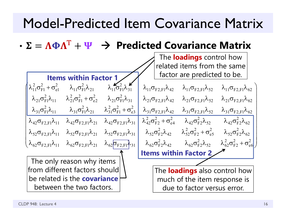## Model-Predicted Item Covariance Matrix

•  $\bf T$ **Predicted Covariance Matrix**

|                                                        | The <b>loadings</b> control how                                                                                    |                                                                          |                                                 |                                                                                                                                    |                                                |  |  |
|--------------------------------------------------------|--------------------------------------------------------------------------------------------------------------------|--------------------------------------------------------------------------|-------------------------------------------------|------------------------------------------------------------------------------------------------------------------------------------|------------------------------------------------|--|--|
| related items from the same                            |                                                                                                                    |                                                                          |                                                 |                                                                                                                                    |                                                |  |  |
|                                                        | <b>Items within Factor 1</b>                                                                                       |                                                                          | factor are predicted to be.                     |                                                                                                                                    |                                                |  |  |
| $\lambda_{11}^2 \sigma_{\rm F1}^2 + \sigma_{\rm el}^2$ | $\lambda_{11} \sigma_{\rm Fl}^2 \lambda_{21}$                                                                      | $\lambda_{11}^{\prime} \sigma_{\text{F1}}^2 \lambda_{31}^{\prime\prime}$ | $\lambda_{11}\sigma_{F2,F1}\lambda_{42}$        | $\lambda_{11}\sigma_{F2,F1}\lambda_{52}$                                                                                           | $\lambda_{11}\sigma_{F2,F1}\lambda_{62}$       |  |  |
| $\lambda_{21} \sigma_{\rm Fl}^2 \lambda_{11}$          | $\lambda_{21}^2 \sigma_{\rm F1}^2 + \sigma_{\rm e2}^2$                                                             | $\lambda_{21}$ $\sigma_{\rm Fl}^2 \lambda_{31}$                          | $\lambda_{21}\sigma_{F2,F1}\lambda_{42}$        | $\lambda_{21}\sigma_{\rm F2,F1}\lambda_{52}$                                                                                       | $\lambda_{21}\sigma_{F2,F1}\lambda_{62}$       |  |  |
| $\lambda_{31}$ $\sigma_{\rm F1}^2 \lambda_{11}$        | $\lambda_{31} \sigma_{\text{F1}}^2 \lambda_{21} \qquad \lambda_{31}^2 \sigma_{\text{F1}}^2 + \sigma_{\text{e3}}^2$ |                                                                          |                                                 | $\lambda_{31}\sigma_{F2,F1}\lambda_{42}$ $\lambda_{31}\sigma_{F2,F1}\lambda_{52}$ $\lambda_{31}\sigma_{F2,F1}\lambda_{62}$         |                                                |  |  |
| $\lambda_{42}\sigma_{F2,F1}\lambda_{11}$               | $\lambda_{\rm 42}\sigma_{\rm F2,F1}\lambda_{\rm 21}$                                                               | $\lambda_{42}\sigma_{F2,F1}\lambda_{31}$                                 |                                                 | $\lambda_{42}^2 \sigma_{F2}^2 + \sigma_{e4}^2$ $\lambda_{42} \sigma_{F2}^2 \lambda_{52}$ $\lambda_{42} \sigma_{F2}^2 \lambda_{62}$ |                                                |  |  |
| $\lambda_{52}\sigma_{F2,F1}\lambda_{11}$               | $\lambda_{52}\sigma_{\rm F2.F1}\lambda_{21}$                                                                       | $\lambda_{52}\sigma_{\rm F2,F1}\lambda_{31}$                             | $\lambda_{52}\sigma_{\rm F2}^2\lambda_{42}$     | $\lambda_{52}^2 \sigma_{F2}^2 + \sigma_{e5}^2$ $\lambda_{52} \sigma_{F2}^2 \lambda_{62}$                                           |                                                |  |  |
| $\lambda_{62}\sigma_{\rm F2,F1}\lambda_{11}$           | $\lambda_{62}\sigma_{\rm F2,F1}\lambda_{21}$                                                                       | $\lambda_{62}$ $\sigma_{F2,F1}$ $\lambda_{31}$                           | $\lambda_{62}$ $\sigma_{\rm F2}^2 \lambda_{42}$ | $\lambda_{62} \sigma_{\rm F2}^2 \lambda_{52}$                                                                                      | $\lambda_{62}^2 \sigma_{F2}^2 + \sigma_{e6}^2$ |  |  |
|                                                        |                                                                                                                    |                                                                          | <b>Items within Factor 2</b>                    |                                                                                                                                    |                                                |  |  |
|                                                        | The only reason why items                                                                                          |                                                                          |                                                 |                                                                                                                                    |                                                |  |  |
|                                                        | from different factors should                                                                                      |                                                                          | The <b>loadings</b> also control how            |                                                                                                                                    |                                                |  |  |
|                                                        | be related is the <b>covariance</b>                                                                                |                                                                          | much of the item response is                    |                                                                                                                                    |                                                |  |  |
|                                                        | between the two factors.                                                                                           |                                                                          | due to factor versus error.                     |                                                                                                                                    |                                                |  |  |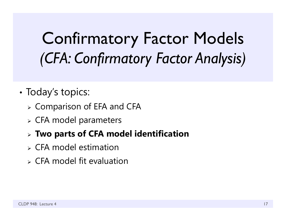# Confirmatory Factor Models *(CFA: Confirmatory Factor Analysis)*

- •• Today's topics:
	- Comparison of EFA and CFA
	- CFA model parameters
	- **Two parts of CFA model identification**
	- $\triangleright$  CFA model estimation
	- $\triangleright$  CFA model fit evaluation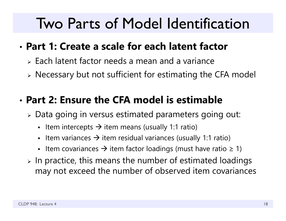## Two Parts of Model Identification

## • **Part 1: Create a scale for each latent factor**

- $\triangleright$  Each latent factor needs a mean and a variance
- Necessary but not sufficient for estimating the CFA model

## • **Part 2: Ensure the CFA model is estimable**

- Data going in versus estimated parameters going out:
	- - Item intercepts  $\rightarrow$  item means (usually 1:1 ratio)
	- - Item variances  $\bm{\rightarrow}$  item residual variances (usually 1:1 ratio)
	- - Item covariances  $\boldsymbol{\rightarrow}$  item factor loadings (must have ratio  $\geq$  1)
- $\triangleright$  In practice, this means the number of estimated loadings may not exceed the number of observed item covariances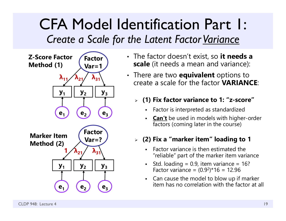## CFA Model Identification Part 1: *Create a Scale for the Latent Factor Variance*



- The factor doesn't exist, so **it needs a scale** (it needs a mean and variance):
- There are two **equivalent** options to create a scale for the factor **VARIANCE**:
	- **(1) Fix factor variance to 1: "z-score"**
		- Factor is interpreted as standardized
		- **Can't** be used in models with higher-order factors (coming later in the course)

### **(2) Fix a "marker item" loading to 1**

- Factor variance is then estimated the "reliable" part of the marker item variance
- Std. loading =  $0.9$ , item variance =  $16$ ? Factor variance = (0.9 2)\*16 = 12.96
- Can cause the model to blow up if marker item has no correlation with the factor at all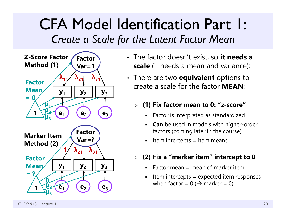## CFA Model Identification Part 1: *Create a Scale for the Latent Factor Mean*



- The factor doesn't exist, so **it needs a scale** (it needs a mean and variance):
- There are two **equivalent** options to create a scale for the factor **MEAN**:
	- **(1) Fix factor mean to 0: "z-score"**
		- Factor is interpreted as standardized
		- **Can** be used in models with higher-order factors (coming later in the course)
		- Item intercepts  $=$  item means
	- **(2) Fix a "marker item" intercept to 0**
		- Factor mean  $=$  mean of marker item
		- Item intercepts = expected item responses when factor = 0 ( $\bm{\rightarrow}$  marker = 0)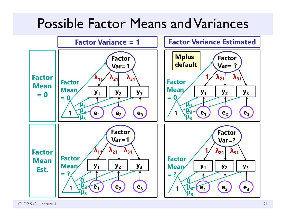## Possible Factor Means and Variances

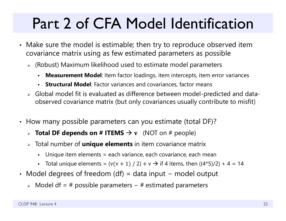# Part 2 of CFA Model Identification

- Make sure the model is estimable; then try to reproduce observed item covariance matrix using as few estimated parameters as possible
	- (Robust) Maximum likelihood used to estimate model parameters
		- n **Measurement Model**: Item factor loadings, item intercepts, item error variances
		- n **Structural Model**: Factor variances and covariances, factor means
	- Global model fit is evaluated as difference between model-predicted and dataobserved covariance matrix (but only covariances usually contribute to misfit)
- How many possible parameters can you estimate (total DF)?
	- **Total DF depends on # ITEMS**  $\rightarrow$  **v** (NOT on # people)
	- Total number of **unique elements** in item covariance matrix
		- n Unique item elements = each variance, each covariance, each mean
		- Total unique elements =  $(v(v + 1) / 2) + v \rightarrow$  if 4 items, then  $((4*5)/2) + 4 = 14$
- Model degrees of freedom (df) = data input − model output
	- Model df = # possible parameters − # estimated parameters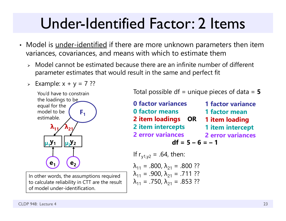## Under-Identified Factor: 2 Items

- Model is <u>under-identified</u> if there are more unknown parameters then item variances, covariances, and means with which to estimate them
	- $\triangleright$  Model cannot be estimated because there are an infinite number of different parameter estimates that would result in the same and perfect fit
	- $\triangleright$  Example:  $x + y = 7$  ??



In other words, the assumptions required to calculate reliability in CTT are the result of model under-identification.

Total possible df = unique pieces of data = **5**

**0 factor variances0 factor means2 item loadings OR 2 item intercepts 2 error variances**  $df = 5 - 6 = -1$ If  $r_{y1,y2} = .64$ , then: **1 factor variance1 factor mean1 item loading 1 item intercept 2 error variances**

$$
\lambda_{11} = .800, \lambda_{21} = .800 ??
$$
  
\n
$$
\lambda_{11} = .900, \lambda_{21} = .711 ??
$$
  
\n
$$
\lambda_{11} = .750, \lambda_{21} = .853 ??
$$

CLDP 948: Lecture 4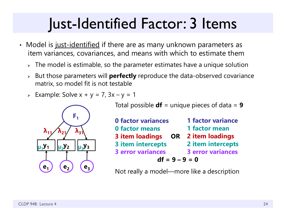## Just-Identified Factor: 3 Items

- Model is j<u>ust-identified</u> if there are as many unknown parameters as item variances, covariances, and means with which to estimate them
	- $\triangleright\;$  The model is estimable, so the parameter estimates have a unique solution
	- $\blacktriangleright$  But those parameters will **perfectly** reproduce the data-observed covariance matrix, so model fit is not testable
	- Example: Solve x + y = 7, 3x y = 1



Total possible **df** = unique pieces of data = **9**

| <b>0 factor variances</b> | <b>1 factor variance</b> |  |  |  |  |  |
|---------------------------|--------------------------|--|--|--|--|--|
| <b>0 factor means</b>     | 1 factor mean            |  |  |  |  |  |
| 3 item loadings OR        | 2 item loadings          |  |  |  |  |  |
| 3 item intercepts         | 2 item intercepts        |  |  |  |  |  |
| <b>3 error variances</b>  | <b>3 error variances</b> |  |  |  |  |  |
| $df = 9 - 9 = 0$          |                          |  |  |  |  |  |

Not really a model—more like a description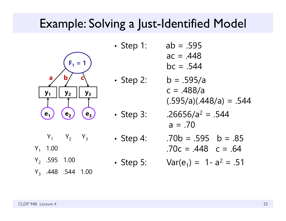## Example: Solving a Just-Identified Model

•



| $\cdot$ Step 1: | $ab = .595$ |
|-----------------|-------------|
|                 | $ac = .448$ |
|                 |             |

 $bc = .544$ 

- $b = .595/a$  $c = .488/a$  $(.595/a)(.448/a) = .544$
- Step 3: .26656/a  $^2$  = .544  $a = .70$

• Step 4: 
$$
.70b = .595 \quad b = .85
$$
  
.70c = .448 \quad c = .64

• Step 5: 
$$
Var(e_1) = 1 - a^2 = .51
$$

 $Y_1$   $Y_2$   $Y_3$  $\rm Y_1$  1.00

- Y<sub>2</sub> .595 1.00
- Y<sub>3</sub> .448 .544 1.00

•

• Step 2:

•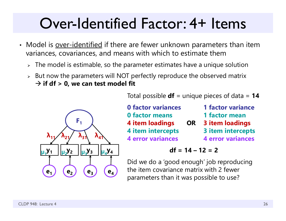## Over-Identified Factor: 4+ Items

- Model is <u>over-identified</u> if there are fewer unknown parameters than item variances, covariances, and means with which to estimate them
	- $\triangleright\;$  The model is estimable, so the parameter estimates have a unique solution
	- $\triangleright$  But now the parameters will NOT perfectly reproduce the observed matrix  $\rightarrow$  if df  $>$  0, we can test model fit



Total possible **df** = unique pieces of data = **14**

| <b>0 factor variances</b> |           | <b>1 factor variance</b> |
|---------------------------|-----------|--------------------------|
| <b>0 factor means</b>     |           | 1 factor mean            |
| <b>4 item loadings</b>    | <b>OR</b> | <b>3 item loadings</b>   |
| 4 item intercepts         |           | 3 item intercepts        |
| <b>4 error variances</b>  |           | <b>4 error variances</b> |

 $df = 14 - 12 = 2$ 

Did we do a 'good enough' job reproducing the item covariance matrix with 2 fewer parameters than it was possible to use?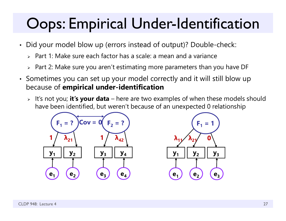# Oops: Empirical Under-Identification

- Did your model blow up (errors instead of output)? Double-check:
	- $\triangleright$  Part 1: Make sure each factor has a scale: a mean and a variance
	- $\triangleright$  Part 2: Make sure you aren't estimating more parameters than you have DF
- Sometimes you can set up your model correctly and it will still blow up because of **empirical under-identification**
	- It's not you; **it's your data** here are two examples of when these models should have been identified, but weren't because of an unexpected 0 relationship

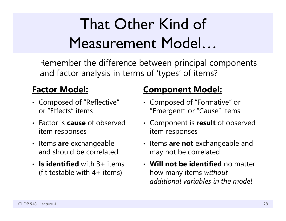# That Other Kind of Measurement Model…

Remember the difference between principal components and factor analysis in terms of 'types' of items?

### **Factor Model:**

- Composed of "Reflective" or "Effects" items
- Factor is **cause** of observed item responses
- Items **are** exchangeable and should be correlated
- **Is identified** with 3+ items (fit testable with  $4+$  items)

### **Component Model:**

- Composed of "Formative" or "Emergent" or "Cause" items
- Component is **result** of observed item responses
- Items **are not** exchangeable and may not be correlated
- **Will not be identified** no matter how many items *without additional variables in the model*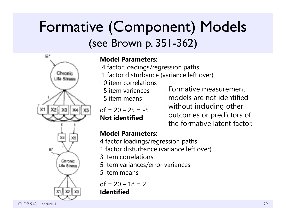## Formative (Component) Models (see Brown p. 351-362)



### **Model Parameters:**

- 4 factor loadings/regression paths
- 1 factor disturbance (variance left over)

10 item correlations5 item variances

5 item means

 $df = 20 - 25 = -5$ **Not identified**

Formative measurement models are not identified without including other outcomes or predictors of the formative latent factor.

### **Model Parameters:**

- 4 factor loadings/regression paths
- 1 factor disturbance (variance left over)

3 item correlations

5 item variances/error variances

5 item means

 $df = 20 - 18 = 2$ **Identified**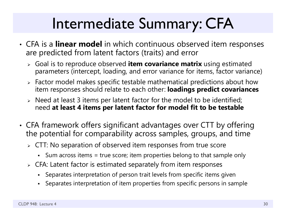# Intermediate Summary: CFA

- • CFA is a **linear model** in which continuous observed item responses are predicted from latent factors (traits) and error
	- Goal is to reproduce observed **item covariance matrix** using estimated parameters (intercept, loading, and error variance for items, factor variance)
	- $\triangleright$  Factor model makes specific testable mathematical predictions about how item responses should relate to each other: **loadings predict covariances**
	- $\triangleright$  Need at least 3 items per latent factor for the model to be identified; need **at least 4 items per latent factor for model fit to be testable**
- • CFA framework offers significant advantages over CTT by offering the potential for comparability across samples, groups, and tim e
	- $\triangleright\;$  CTT: No separation of observed item responses from true score
		- Sum across items = true score; item properties belong to that sample only
	- $\triangleright$  CFA: Latent factor is estimated separately from item responses
		- Separates interpretation of person trait levels from specific items given
		- n Separates interpretation of item properties from specific persons in sample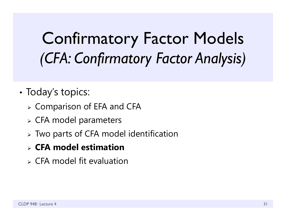# Confirmatory Factor Models *(CFA: Confirmatory Factor Analysis)*

- •• Today's topics:
	- Comparison of EFA and CFA
	- CFA model parameters
	- Two parts of CFA model identification
	- **CFA model estimation**
	- $\triangleright$  CFA model fit evaluation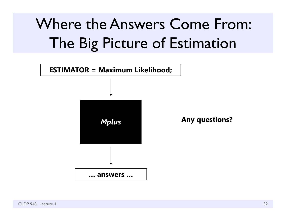# Where the Answers Come From: The Big Picture of Estimation

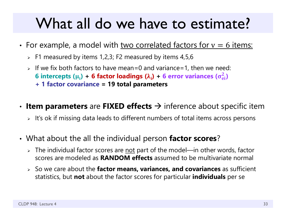## What all do we have to estimate?

- •• For example, a model with two correlated factors for  $v=6$  items:
	- $\triangleright$  F1 measured by items 1,2,3; F2 measured by items 4,5,6
	- $>$  If we fix both factors to have mean=0 and variance=1, then we need: **6** intercepts ( $\mu_i$ ) + **6 factor loadings (** $\lambda_i$ **) + 6 error variances (** $\sigma_{\rm ei}^2$ **) + 1 factor covariance = 19 total parameters**
- •**• Item parameters** are FIXED effects → inference about specific item
	- $\triangleright$   $\;$  It's ok if missing data leads to different numbers of total items across persons
- • What about the all the individual person **factor scores**?
	- > The individual factor scores are <u>not</u> part of the model—in other words, factor scores are modeled as **RANDOM effects** assumed to be multivariate normal
	- So we care about the **factor means, variances, and covariances** as sufficient statistics, but **not** about the factor scores for particular **individuals** per se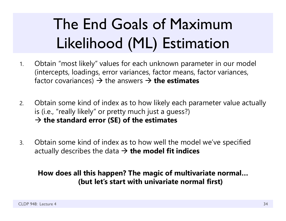# The End Goals of Maximum Likelihood (ML) Estimation

- 1. Obtain "most likely" values for each unknown parameter in our model (intercepts, loadings, error variances, factor means, factor variances, factor covariances) → the answers → **the estimates**
- 2. Obtain some kind of index as to how likely each parameter value actually is (i.e., "really likely" or pretty much just a guess?) **the standard error (SE) of the estimates**
- 3. Obtain some kind of index as to how well the model we've specified actually describes the data **the model fit indices**

### **How does all this happen? The magic of multivariate normal… (but let's start with univariate normal first)**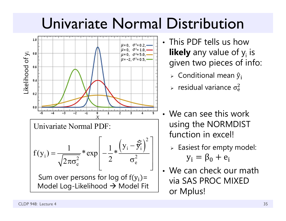## Univariate Normal Distribution



- This PDF tells us how **likely** any value of y<sub>i</sub> is given two pieces of info:
	- $\triangleright$  Conditional mean  $\widehat y_{\mathbf i}$
	- $\epsilon$  residual variance  $\sigma_{\rm e}^2$  $\overline{c}$
- We can see this work using the NORMDIST function in excel!
	- $\triangleright$  Easiest for empty model:  $y_i = \beta_0 + e_i$
- We can check our math via SAS PROC MIXED or Mplus!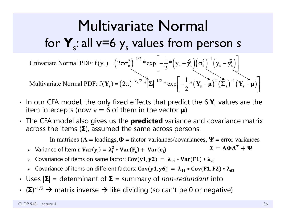## Multivariate Normal for  $\mathbf{Y}_{s}$ : all v=6  $\mathbf{y}_{s}$  values from person *s*

Univariate Normal PDF: 
$$
f(y_s) = (2\pi\sigma_e^2)^{-1/2} * \exp\left[-\frac{1}{2} * (y_s - \vec{y}_s)(\sigma_e^2)^{-1} (y_s - \vec{y}_s)\right]
$$
  
Multivariate Normal PDF:  $f(Y_s) = (2\pi)^{-v_s/2} * |\Sigma|^{-1/2} * \exp\left[-\frac{1}{2} * (Y_s - \mu)^T (\Sigma_s)^{-1} (Y_s - \mu)\right]$ 

- In our CFA model, the only fixed effects that predict the 6  $\mathbf{Y}_{\mathrm{s}}$  values are the item intercepts (now  $\text{v} = 6$  of them in the vector  $\boldsymbol{\mu}$ )
- The CFA model also gives us the **predicted** variance and covariance matrix across the items ( **Σ**), assumed the same across persons:

In matrices ( $\Lambda$  = loadings,  $\Phi$  = factor variances/covariances,  $\Psi$  = error variances

- > Variance of Item *i*:  $\text{Var}(y_i) = \lambda_i^2 * \text{Var}(F_s) + \text{Var}(e_i)$  $\boldsymbol{\Sigma} = \boldsymbol{\Lambda}\boldsymbol{\Phi}\boldsymbol{\Lambda}^T + \boldsymbol{\Psi}$
- ► Covariance of items on same factor: Cov(y1, y2) =  $\lambda_{11} * Var(F1) * \lambda_{21}$
- ► Covariance of items on different factors: Cov(y1, y6) =  $\lambda_{11} * \text{Cov(F1, F2)} * \lambda_{62}$
- Uses  $|\mathbf{\Sigma}|$  = determinant of  $\mathbf{\Sigma}$  = summary of *non-redundant* info
- (Σ)<sup>-1/2</sup> → matrix inverse → like dividing (so can't be 0 or negative)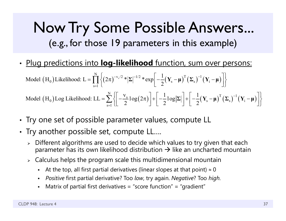## Now Try Some Possible Answers... (e.g., for those 19 parameters in this example)

•Plug predictions into **log-likelihood** function, sum over persons:

$$
\text{Model (H}_{0}) \text{Likelihood: } L = \prod_{s=1}^{N} \left\{ (2\pi)^{-v_{s}/2} * |\Sigma|^{-1/2} * \exp\left[ -\frac{1}{2} (\mathbf{Y}_{s} - \boldsymbol{\mu})^{T} (\Sigma_{s})^{-1} (\mathbf{Y}_{i} - \boldsymbol{\mu}) \right] \right\}
$$
\n
$$
\text{Model (H}_{0}) \text{Log Likelihood: } LL = \sum_{s=1}^{N} \left\{ \left[ -\frac{v_{s}}{2} \log(2\pi) \right] + \left[ -\frac{1}{2} \log |\Sigma| \right] + \left[ -\frac{1}{2} (\mathbf{Y}_{s} - \boldsymbol{\mu})^{T} (\Sigma_{s})^{-1} (\mathbf{Y}_{i} - \boldsymbol{\mu}) \right] \right\}
$$

- •• Try one set of possible parameter values, compute LL
- • $\bullet\,$  Try another possible set, compute LL....
	- $\triangleright$  Different algorithms are used to decide which values to try given that each parameter has its own likelihood distribution  $\boldsymbol{\rightarrow}$  like an uncharted mountain
	- $\triangleright$   $\,$  Calculus helps the program scale this multidimensional mountain
		- n At the top, all first partial derivatives (linear slopes at that point)  $\approx 0$
		- *Positive* first partial derivative? Too *low*, try again. *Negative*? Too *high*.
		- Matrix of partial first derivatives = "score function" = "gradient"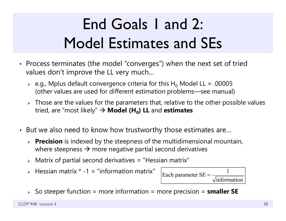# End Goals 1 and 2: Model Estimates and SEs

- Process terminates (the model "converges") when the next set of tried values don't improve the LL very much…
	- $\triangleright$  e.g., Mplus default convergence criteria for this H $_0$  Model LL = .00005 (other values are used for different estimation problems—see manual)
	- $\triangleright$  Those are the values for the parameters that, relative to the other possible values tried, are "most likely" **Model (H 0) LL** and **estimates**
- But we also need to know how trustworthy those estimates are…
	- **Precision** is indexed by the steepness of the multidimensional mountain, where steepness  $\bm{\rightarrow}$  more negative partial second derivatives
	- $\triangleright$  Matrix of partial second derivatives = "Hessian matrix"
	- $\triangleright$  Hessian matrix  $\ast$  -1 = "information matrix"



So steeper function = more information = more precision = **smaller SE**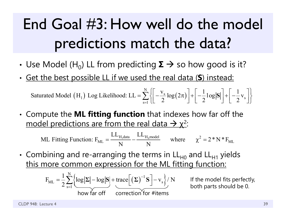# End Goal #3: How well do the model predictions match the data?

- • $\boldsymbol{\cdot}$  Use Model (H<sub>0</sub>) LL from predicting  $\boldsymbol{\Sigma} \to$  so how good is it?
- •Get the best possible LL if we used the real data ( **S**) instead:

 $\text{(H}_1)$  Log Likelihood: LL =  $\sum \left\{ \left| \frac{\sqrt{s}}{2} \log(2\pi) \right| \right\}$ 1) Log Likelihood: LL =  $\sum_{n=1}^{N} \left\{ \left[ -\frac{v_s}{2} \log(2\pi) \right] + \left[ -\frac{1}{2} \log |S| \right] + \left[ -\frac{1}{2} v_s \right] \right\}$ Saturated Model  $(H_1)$  Log Likelihood: LL =  $\sum_{s=1}^{N} \left\{ \left[ -\frac{v_s}{2} \log(2\pi) \right] + \left[ -\frac{1}{2} \log |S| \right] + \left[ -\frac{1}{2} v_s \right] \right\}$  $=\sum_{s=1}^{N}\left\{\left[-\frac{v_s}{2}\log(2\pi)\right]+\left[-\frac{1}{2}\log|S|\right]+\left[-\frac{1}{2}v_s\right]\right\}$ 

• Compute the **ML fitting function** that indexes how far off the model predictions are from the real data  $\rightarrow$  χ<sup>2</sup>:

ML Fitting Function: 
$$
F_{ML} = \frac{LL_{H_1 data}}{N} - \frac{LL_{H_0 model}}{N}
$$
 where  $\chi^2 = 2 * N * F_{ML}$ 

•• Combining and re-arranging the terms in  $\mathsf{LL}_{\mathsf{H}0}$  and  $\mathsf{LL}_{\mathsf{H}1}$  yields this more common expression for the ML fitting function:

$$
F_{ML} = \frac{1}{2} \sum_{s=1}^{N} \left\{ \frac{\log |\Sigma| - \log |S| + \text{trace} \left[ (\Sigma)^{-1} S \right] - v_s}{\text{how far off}} \right\} / N \qquad \text{If } \log |\Sigma| = \log |\Sigma| + \text{trace} \left[ (\Sigma)^{-1} S \right] - v_s
$$

the model fits perfectly, both parts should be 0.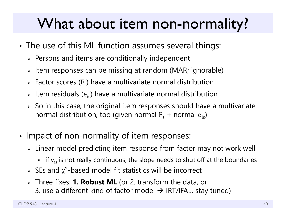## What about item non-normality?

- • The use of this ML function assumes several things:
	- $\triangleright$  Persons and items are conditionally independent
	- $\triangleright$  Item responses can be missing at random (MAR; ignorable)
	- $\triangleright$  Factor scores (F<sub>s</sub>) have a multivariate normal distribution
	- $\triangleright$  Item residuals ( $\mathrm{e_{is}}$ ) have a multivariate normal distribution
	- $\triangleright\;$  So in this case, the original item responses should have a multivariate normal distribution, too (given normal  $\rm F_s$  + normal  $\rm e_{is}$ )
- •• Impact of non-normality of item responses:
	- $\triangleright\;$  Linear model predicting item response from factor may not work well
		- $\;$  if  $\rm{y}_{is}$  is not really continuous, the slope needs to shut off at the boundaries
	- $\triangleright$  SEs and  $\chi^2$ -based model fit statistics will be incorrect
	- Three fixes: **1. Robust ML** (or 2. transform the data, or 3. use a different kind of factor model  $\boldsymbol{\rightarrow}$  IRT/IFA... stay tuned)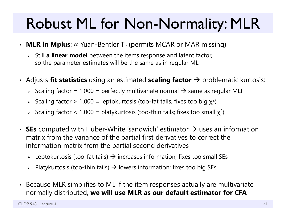# Robust ML for Non-Normality: MLR

- $\bm\cdot\;$  **MLR in Mplus**:  $\approx$  Yuan-Bentler T<sub>2</sub> (permits MCAR or MAR missing)
	- Still **a linear model** between the items response and latent factor, so the parameter estimates will be the same as in regular ML
- $\bm{\cdot}\,$  Adjusts **fit statistics** using an estimated **scaling factor**  $\bm{\rightarrow}$  problematic kurtosis:
	- $\triangleright$  Scaling factor = 1.000 = perfectly multivariate normal  $\rightarrow$  same as regular ML!
	- $\triangleright$  Scaling factor  $> 1.000 =$  leptokurtosis (too-fat tails; fixes too big  $\chi^2$ )
	- $\triangleright$  Scaling factor < 1.000 = platykurtosis (too-thin tails; fixes too small  $\chi^2$ )
- SEs computed with Huber-White 'sandwich' estimator  $\rightarrow$  uses an information matrix from the variance of the partial first derivatives to correct the information matrix from the partial second derivatives
	- $\triangleright$  Leptokurtosis (too-fat tails)  $\rightarrow$  increases information; fixes too small SEs
	- $\triangleright$  Platykurtosis (too-thin tails)  $\rightarrow$  lowers information; fixes too big SEs
- $\bullet$  Because MLR simplifies to ML if the item responses actually are multivariate normally distributed, **we will use MLR as our default estimator for CFA**

CLDP 948: Lecture 4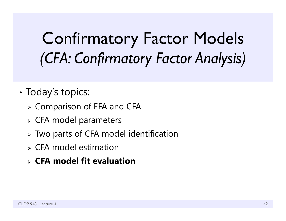# Confirmatory Factor Models *(CFA: Confirmatory Factor Analysis)*

- •• Today's topics:
	- Comparison of EFA and CFA
	- CFA model parameters
	- Two parts of CFA model identification
	- $\triangleright$  CFA model estimation
	- **CFA model fit evaluation**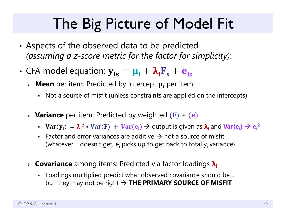## The Big Picture of Model Fit

- • Aspects of the observed data to be predicted *(assuming a z-score metric for the factor for simplicity)*:
- •• CFA model equation:  $y_{is} = \mu_i + \lambda_i F_s + e_{is}$ 
	- » Mean per item: Predicted by intercept  $\boldsymbol{\mu_{i}}$  per item
		- Not a source of misfit (unless constraints are applied on the intercepts)
	- **Variance** per item: Predicted by weighted (F) + (e)
		- $Var(y_i) = \lambda_i^2 * Var(F) + Var(e_i) \rightarrow$  output is given as  $\lambda_i$  and  $Var(e_i) \rightarrow e_i^2$
		- Factor and error variances are additive  $\rightarrow$  not a source of misfit (whatever F doesn't get, e<sub>i</sub> picks up to get back to total y<sub>i</sub> variance)
	- **Covariance** among items: Predicted via factor loadings **λi**
		- Loadings multiplied predict what observed covariance should be… but they may not be right **THE PRIMARY SOURCE OF MISFIT**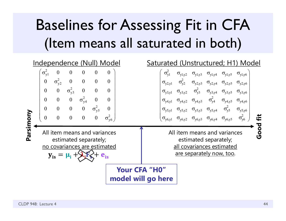# Baselines for Assessing Fit in CFA (Item means all saturated in both)

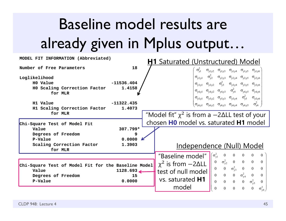# Baseline model results are already given in Mplus output…

| MODEL FIT INFORMATION (Abbreviated)                                                                                                     | <b>H1</b> Saturated (Unstructured) Model                                                                                                                                                                                                                                                                                                                                                                                                                                                                      |
|-----------------------------------------------------------------------------------------------------------------------------------------|---------------------------------------------------------------------------------------------------------------------------------------------------------------------------------------------------------------------------------------------------------------------------------------------------------------------------------------------------------------------------------------------------------------------------------------------------------------------------------------------------------------|
| 18<br>Number of Free Parameters                                                                                                         | $\sigma_{vl}^2$<br>$\sigma_{y l, y 2} \quad \sigma_{y l, y 3} \quad \sigma_{y l, y 4} \quad \sigma_{y l, y 5} \quad \sigma_{y l, y 6}$                                                                                                                                                                                                                                                                                                                                                                        |
| Loglikelihood<br>$-11536.404$<br>H0 Value<br>1.4158<br>HO Scaling Correction Factor<br>for MLR                                          | $\sigma_{y2,y1}$ $\sigma_{y2}^2$ $\sigma_{y2,y3}$ $\sigma_{y2,y4}$ $\sigma_{y2,y5}$ $\sigma_{y2,y6}$<br>$\sigma_{y3,y1}$ $\sigma_{y3,y2}$ $\sigma_{y3}^2$ $\sigma_{y3,y4}$ $\sigma_{y3,y5}$ $\sigma_{y3,y6}$<br>$\sigma_{y4,y1}$ $\sigma_{y4,y2}$ $\sigma_{y4,y3}$ $\sigma_{y4}^2$ $\sigma_{y4,y5}$ $\sigma_{y4,y6}$                                                                                                                                                                                          |
| $-11322.435$<br>H1 Value<br>H1 Scaling Correction Factor<br>1.4073<br>for MLR                                                           | $\sigma_{y5,y1}$ $\sigma_{y5,y2}$ $\sigma_{y5,y3}$ $\sigma_{y5,y4}$ $\sigma_{y5}^2$ $\sigma_{y5,y6}$<br>$(\sigma_{y6,y1} \quad \sigma_{y6,y2} \quad \sigma_{y6,y3} \quad \sigma_{y6,y4} \quad \sigma_{y6,y5} \quad \sigma_{y6}^2)$<br>"Model fit" $\chi^2$ is from a $-2\Delta L$ test of your                                                                                                                                                                                                                |
| Chi-Square Test of Model Fit<br>307.799*<br>Value<br>Degrees of Freedom<br>9                                                            | chosen <b>HO</b> model vs. saturated <b>H1</b> model                                                                                                                                                                                                                                                                                                                                                                                                                                                          |
| 0.0000<br>P-Value<br>Scaling Correction Factor<br>1.3903<br>for MLR                                                                     | Independence (Null) Model<br>$\int (\sigma_{\rm v1}^2)$<br>$\overline{0}$<br>$\overline{0}$<br>$\overline{0}$<br>$\overline{0}$<br>"Baseline model"<br>$\theta$                                                                                                                                                                                                                                                                                                                                               |
| Chi-Square Test of Model Fit for the Baseline Model<br>Value<br>$1128.693 \rightarrow$<br>Degrees of Freedom<br>15<br>P-Value<br>0.0000 | $\sigma_{y2}^2$ 0 0 0<br>$\theta$<br>$\overline{0}$<br>$\chi^2$ is from $-2\Delta L$<br>$\mathbf{0}$<br>$\sigma_{\rm v3}^2$<br>$\mathbf{0}$<br>$\overline{0}$<br>$\Omega$<br>$\theta$<br>test of null model<br>0 0 $\sigma_{y4}^2$<br>$\overline{0}$<br>$\bf{0}$<br>$\theta$<br>vs. saturated <b>H1</b><br>$0\qquad 0$<br>$\overline{0}$<br>$\boldsymbol{0}$<br>$\sigma_{\rm v5}^2$<br>model<br>$\overline{0}$<br>$\overline{0}$<br>$\overline{0}$<br>$\overline{0}$<br>$\sigma_{\rm v6}^2$<br>$\overline{0}$ |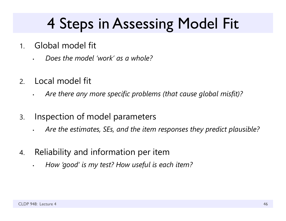## 4 Steps in Assessing Model Fit

- 1. Global model fit
	- *Does the model 'work' as a whole?*
- 2.Local model fit

•

- •*Are there any more specific problems (that cause global misfit)?*
- 3. Inspection of model parameters
	- •*Are the estimates, SEs, and the item responses they predict plausible?*
- 4. Reliability and information per item
	- *How 'good' is my test? How useful is each item?*

•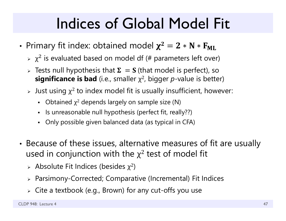- •• Primary fit index: obtained model  $\chi^2=2*N*N_{\rm ML}$ 
	- $\triangleright$   $\chi^2$  is evaluated based on model df (# parameters left over)
	- $\triangleright$  Tests null hypothesis that  $\boldsymbol{\Sigma} \, = \, \boldsymbol{S}$  (that model is perfect), so **significance is bad** (i.e., smaller χ 2, bigger *p*-value is better)
	- $\triangleright$  Just using  $\chi^2$  to index model fit is usually insufficient, however:
		- $\blacksquare$ • Obtained  $\chi^2$  depends largely on sample size (N)
		- Is unreasonable null hypothesis (perfect fit, really??)
		- Only possible given balanced data (as typical in CFA)
- • Because of these issues, alternative measures of fit are usually used in conjunction with the  $\chi^2$  test of model fit
	- $\triangleright$  Absolute Fit Indices (besides  $\chi^2$ )
	- Parsimony-Corrected; Comparative (Incremental) Fit Indices
	- Cite a textbook (e.g., Brown) for any cut-offs you use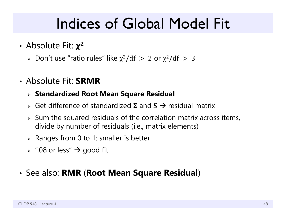- Absolute Fit:  $\chi^2$ 
	- > Don't use "ratio rules" like  $\chi^2/\mathrm{df} > 2$  or  $\chi^2/\mathrm{df} > 3$
- Absolute Fit: **SRMR**

### **Standardized Root Mean Square Residual**

- $\triangleright$  Get difference of standardized  $\Sigma$  and  $S \rightarrow$  residual matrix
- $\triangleright$  Sum the squared residuals of the correlation matrix across items, divide by number of residuals (i.e., matrix elements)
- $\triangleright$  Ranges from 0 to 1: smaller is better
- $\triangleright$   $\;\mathord{''}.08$  or less"  $\bm{\rightarrow}$  good fit

### • See also: **RMR** (**Root Mean Square Residual** )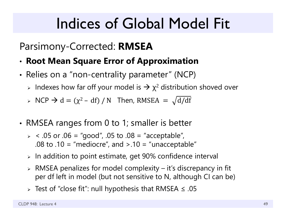## Parsimony-Corrected: **RMSEA**

- •**Root Mean Square Error of Approximation**
- •• Relies on a "non-centrality parameter" (NCP)
	- $\triangleright$  Indexes how far off your model is  $\rightarrow$   $\chi^2$  distribution shoved over
	- $\triangleright$  NCP  $\rightarrow$  d = ( $\chi^2$  df) / N Then, RMSEA =  $\sqrt{d/df}$
- • RMSEA ranges from 0 to 1; smaller is better
	- $>$  < .05 or .06 = "good", .05 to .08 = "acceptable", .08 to .10 = "mediocre", and  $> .10$  = "unacceptable"
	- $\triangleright$  In addition to point estimate, get 90% confidence interval
	- $\triangleright$  RMSEA penalizes for model complexity it's discrepancy in fit per df left in model (but not sensitive to N, although CI can be)
	- Test of "close fit": null hypothesis that RMSEA ≤ .05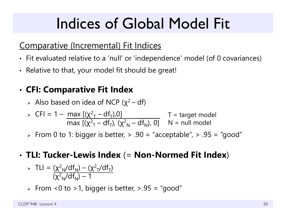## Comparative (Incremental) Fit Indices

- Fit evaluated relative to a 'null' or 'independence' model (of 0 covariances)
- Relative to that, your model fit should be great!

#### •**CFI: Comparative Fit Index**

> Also based on idea of NCP ( $\chi^2$  – df)

$$
\triangleright \text{ CFI} = 1 - \frac{\max\left[ (\chi^2 - df_T), 0 \right]}{\max\left[ (\chi^2 - df_T), (\chi^2 - df_N), 0 \right]} \quad T = \text{target model}
$$

 $\triangleright\;$  From 0 to 1: bigger is better,  $\triangleright\;$  .90 = "acceptable",  $\triangleright\;$  .95 = "good"

## • **TLI: Tucker-Lewis Index** (= **Non-Normed Fit Index** )

> TLI = 
$$
\frac{(\chi^2_N/df_N) - (\chi^2_T/df_T)}{(\chi^2_N/df_N) - 1}
$$

 $\triangleright$  From <0 to >1, bigger is better, >.95 = "good"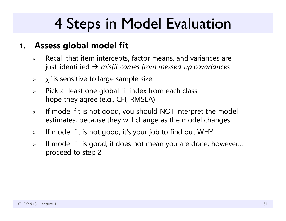## 4 Steps in Model Evaluation

#### **1.Assess global model fit**

- $\blacktriangleright$  Recall that item intercepts, factor means, and variances are just-identified *misfit comes from messed-up covariances*
- $\blacktriangleright$  $\chi^2$  is sensitive to large sample size
- $\blacktriangleright$  Pick at least one global fit index from each class; hope they agree (e.g., CFI, RMSEA)
- $\blacktriangleright$  If model fit is not good, you should NOT interpret the model estimates, because they will change as the model changes
- $\blacktriangleright$ If model fit is not good, it's your job to find out WHY
- $\blacktriangleright$  If model fit is good, it does not mean you are done, however… proceed to step 2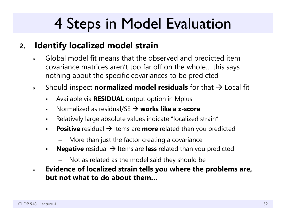## 4 Steps in Model Evaluation

#### **2.Identify localized model strain**

- $\blacktriangleright$  Global model fit means that the observed and predicted item covariance matrices aren't too far off on the whole… this says nothing about the specific covariances to be predicted
- $\blacktriangleright$  Should inspect **normalized model residuals** for that Local fit
	- $\blacksquare$ Available via **RESIDUAL** output option in Mplus
	- $\blacksquare$ ■ Normalized as residual/SE → works like a z-score
	- $\blacksquare$ Relatively large absolute values indicate "localized strain"
	- $\blacksquare$ **Positive** residual  $\rightarrow$  Items are **more** related than you predicted
		- More than just the factor creating a covariance
	- $\blacksquare$ **Negative** residual  $\rightarrow$  Items are less related than you predicted
		- Not as related as the model said they should be
- $\blacktriangleright$  **Evidence of localized strain tells you where the problems are, but not what to do about them…**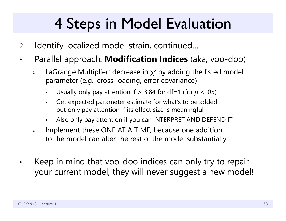# 4 Steps in Model Evaluation

- 2.Identify localized model strain, continued…
- • Parallel approach: **Modification Indices** (aka, voo-doo)
	- $\blacktriangleright$  $\triangleright$  LaGrange Multiplier: decrease in  $\chi^2$  by adding the listed model parameter (e.g., cross-loading, error covariance)
		- F Usually only pay attention if > 3.84 for df=1 (for *p* < .05)
		- Get expected parameter estimate for what's to be added – but only pay attention if its effect size is meaningful
		- F Also only pay attention if you can INTERPRET AND DEFEND IT
	- $\blacktriangleright$  Implement these ONE AT A TIME, because one addition to the model can alter the rest of the model substantially
- • Keep in mind that voo-doo indices can only try to repair your current model; they will never suggest a new model!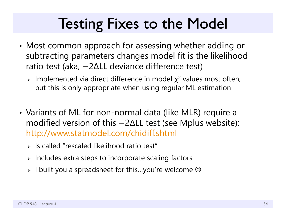## Testing Fixes to the Model

- • Most common approach for assessing whether adding or subtracting parameters changes model fit is the likelihood ratio test (aka, –2ΔLL deviance difference test)
	- > Implemented via direct difference in model  $\chi^2$  values most often, but this is only appropriate when using regular ML estimation
- • Variants of ML for non-normal data (like MLR) require a modified version of this —2ΔLL test (see Mplus website): http://www.statmodel.com/chidiff.shtml
	- $\triangleright$  Is called "rescaled likelihood ratio test"
	- $\triangleright$  Includes extra steps to incorporate scaling factors
	- $\triangleright\,$  I built you a spreadsheet for this…you're welcome  $\mathbb G$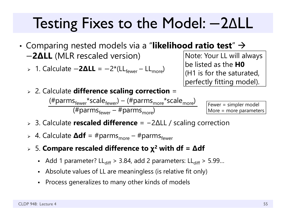## Testing Fixes to the Model: 2 ΔLL

- • $\bullet$  Comparing nested models via a "**likelihood ratio test**"  $\rightarrow$ െ**2ΔLL** (MLR rescaled version)
	- » 1. Calculate **-2ΔLL** = -2\*(LL<sub>fewer</sub> LL<sub>more</sub>)

Note: Your LL will always be listed as the **H0**(H1 is for the saturated, perfectly fitting model).

2. Calculate **difference scaling correction** =

 $(\text{\#params}_{\text{fewer}}^*$ scale $_{\text{fewer}}^*$ ) – ( $\text{\#params}_{\text{more}}^*$ scale $_{\text{more}}^*$ ) (#parms<sub>fewer</sub> – #parms<sub>more</sub>)

Fewer = simpler model More = more parameters

- 3. Calculate **rescaled difference** = −2ΔLL / scaling correction
- ► 4. Calculate **Δdf** = #parms<sub>more</sub> #parms<sub>fewer</sub>
- 5. **Compare rescaled difference to χ 2 with df = Δdf**
	- Add 1 parameter? LL<sub>diff</sub> > 3.84, add 2 parameters: LL<sub>diff</sub> > 5.99...
	- Absolute values of LL are meaningless (is relative fit only)
	- $\blacksquare$ Process generalizes to many other kinds of models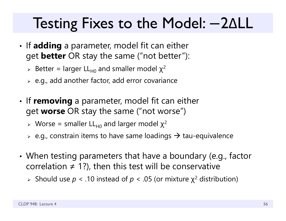## Testing Fixes to the Model: 2 ΔLL

- •• If **adding** a parameter, model fit can either get **better** OR stay the same ("not better"):
	- > Better = larger LL<sub>H0</sub> and smaller model  $\chi^2$
	- $\triangleright$  e.g., add another factor, add error covariance
- •• If **removing** a parameter, model fit can either get **worse** OR stay the same ("not worse")
	- > Worse = smaller LL<sub>H0</sub> and larger model  $\chi^2$
	- $\triangleright$  e.g., constrain items to have same loadings  $\rightarrow$  tau-equivalence
- • When testing parameters that have a boundary (e.g., factor correlation  $\neq$  1?), then this test will be conservative
	- Should use *p* < .10 instead of *p* < .05 (or mixture χ 2 distribution)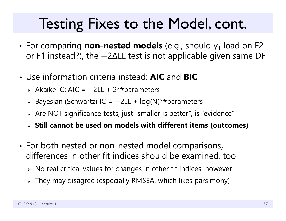## Testing Fixes to the Model, cont.

- • $\bullet\,$  For comparing  $\,$  non-nested  $\,$  models (e.g., should  $\,$ y $_1$  load on F2  $\,$ or F1 instead?), the  $-$ 2 $\Delta$ LL test is not applicable given same DF
- Use information criteria instead: **AIC** and **BIC**
	- > Akaike IC: AIC =  $-2LL + 2*$ #parameters
	- Bayesian (Schwartz) IC = െ2LL + log(N)\*#parameters
	- $\triangleright$  Are NOT significance tests, just "smaller is better", is "evidence"
	- **Still cannot be used on models with different items (outcomes)**
- •• For both nested or non-nested model comparisons, differences in other fit indices should be examined, too
	- $\triangleright\;$  No real critical values for changes in other fit indices, however
	- $\triangleright$  They may disagree (especially RMSEA, which likes parsimony)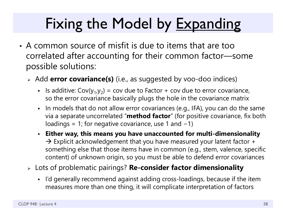# Fixing the Model by Expanding

- A common source of misfit is due to items that are too correlated after accounting for their common factor—some possible solutions:
	- Add **error covariance(s)** (i.e., as suggested by voo-doo indices)
		- $\mathbf{r}$  . Is additive:  $Cov(y_1, y_2)$  = cov due to Factor + cov due to error covariance, so the error covariance basically plugs the hole in the covariance matrix
		- In models that do not allow error covariances (e.g., IFA), you can do the same via a separate uncorrelated "**method factor**" (for positive covariance, fix both loadings = 1; for negative covariance, use 1 and  $-1$ )
		- **Either way, this means you have unaccounted for multi-dimensionality**  $\rightarrow$  Explicit acknowledgement that you have measured your latent factor + something else that those items have in common (e.g., stem, valence, specific content) of unknown origin, so you must be able to defend error covariances
	- Lots of problematic pairings? **Re-consider factor dimensionality**
		- I'd generally recommend against adding cross-loadings, because if the item measures more than one thing, it will complicate interpretation of factors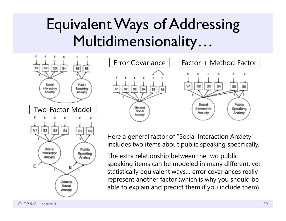## Equivalent Ways of Addressing Multidimensionality…





Here a general factor of "Social Interaction Anxiety" includes two items about public speaking specifically.

The extra relationship between the two public speaking items can be modeled in many different, yet statistically equivalent ways… error covariances really represent another factor (which is why you should be able to explain and predict them if you include them).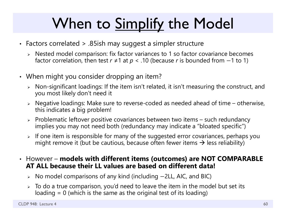# When to Simplify the Model

- Factors correlated > .85ish may suggest a simpler structure
	- Nested model comparison: fix factor variances to 1 so factor covariance becomes factor correlation, then test  $r \neq 1$  at  $p < .10$  (because  $r$  is bounded from  $-1$  to 1)
- When might you consider dropping an item?
	- $\triangleright$  Non-significant loadings: If the item isn't related, it isn't measuring the construct, and you most likely don't need it
	- Negative loadings: Make sure to reverse-coded as needed ahead of time otherwise, this indicates a big problem!
	- $\triangleright$  Problematic leftover positive covariances between two items such redundancy implies you may not need both (redundancy may indicate a "bloated specific")
	- $\triangleright$  If one item is responsible for many of the suggested error covariances, perhaps you might remove it (but be cautious, because often fewer items  $\boldsymbol{\rightarrow}$  less reliability)
- However **models with different items (outcomes) are NOT COMPARABLE AT ALL because their LL values are based on different data!**
	- $\triangleright$  No model comparisons of any kind (including  $-$  2LL, AIC, and BIC)
	- $\triangleright$  To do a true comparison, you'd need to leave the item in the model but set its loading  $= 0$  (which is the same as the original test of its loading)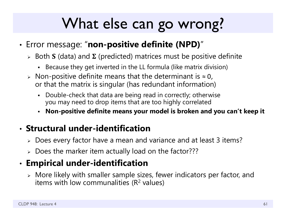## What else can go wrong?

- • Error message: "**non-positive definite (NPD)** "
	- $\triangleright\;$  Both **S** (data) and **Σ** (predicted) matrices must be positive definite
		- Because they get inverted in the LL formula (like matrix division)
	- $\triangleright$  Non-positive definite means that the determinant is  $\approx$  0, or that the matrix is singular (has redundant information)
		- Double-check that data are being read in correctly; otherwise you may need to drop items that are too highly correlated
		- **Non-positive definite means your model is broken and you can't keep it**

### • **Structural under-identification**

- Does every factor have a mean and variance and at least 3 items ?
- Does the marker item actually load on the factor???

#### •**Empirical under-identification**

 $\triangleright$  More likely with smaller sample sizes, fewer indicators per factor, and items with low communalities (R<sup>2</sup> values)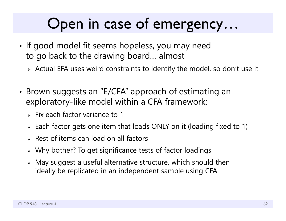## Open in case of emergency…

- •• If good model fit seems hopeless, you may need to go back to the drawing board… almost
	- $\triangleright$  Actual EFA uses weird constraints to identify the model, so don't use it
- • Brown suggests an "E/CFA" approach of estimating an exploratory-like model within a CFA framework:
	- $>$  Fix each factor variance to 1
	- $\triangleright$  Each factor gets one item that loads ONLY on it (loading fixed to 1)
	- $\triangleright$  Rest of items can load on all factors
	- $\triangleright$  Why bother? To get significance tests of factor loadings
	- $\triangleright$  May suggest a useful alternative structure, which should then ideally be replicated in an independent sample using CFA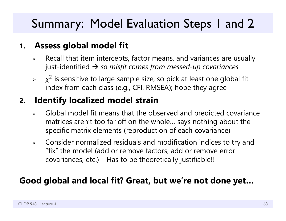## Summary: Model Evaluation Steps 1 and 2

#### **1.Assess global model fit**

- ➤ Recall that item intercepts, factor means, and variances are usually just-identified *so misfit comes from messed-up covariances*
- $\blacktriangleright$  $\chi^2$  is sensitive to large sample size, so pick at least one global fit index from each class (e.g., CFI, RMSEA); hope they agree

#### **2.Identify localized model strain**

- $\blacktriangleright$  Global model fit means that the observed and predicted covariance matrices aren't too far off on the whole… says nothing about the specific matrix elements (reproduction of each covariance)
- $\blacktriangleright$  Consider normalized residuals and modification indices to try and "fix" the model (add or remove factors, add or remove error covariances, etc.) – Has to be theoretically justifiable!!

### **Good global and local fit? Great, but we're not done yet…**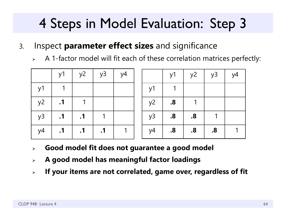- 3. Inspect **parameter effect sizes** and significance
	- $\blacktriangleright$ A 1-factor model will fit each of these correlation matrices perfectly:

|    | y1        | y2        | y3        | y4 |    | y1            | $y^2$             | y3                | y4 |
|----|-----------|-----------|-----------|----|----|---------------|-------------------|-------------------|----|
| y1 |           |           |           |    | y1 |               |                   |                   |    |
| y2 | $\cdot$ 1 |           |           |    | y2 | $\mathbf{.8}$ |                   |                   |    |
| y3 | $\cdot$ 1 | $\cdot$ 1 |           |    | y3 | $\mathbf{.8}$ | .8                |                   |    |
| y4 | $\cdot$ 1 | $\cdot$ 1 | $\cdot$ 1 |    | y4 | $\mathbf{8}$  | $\boldsymbol{.8}$ | $\boldsymbol{.8}$ |    |

- $\blacktriangleright$ **Good model fit does not guarantee a good model**
- $\blacktriangleright$ **A good model has meaningful factor loadings**
- $\blacktriangleright$ **If your items are not correlated, game over, regardless of fit**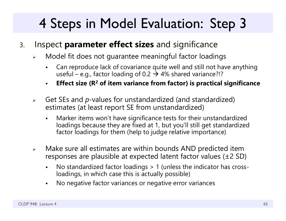- 3. Inspect **parameter effect sizes** and significance
	- $\blacktriangleright$  Model fit does not guarantee meaningful factor loadings
		- $\blacksquare$  Can reproduce lack of covariance quite well and still not have anything useful – e.g., factor loading of 0.2  $\rightarrow$  4% shared variance?!?
		- $\blacksquare$ **Effect size (R 2 of item variance from factor) is practical significance**
	- $\blacktriangleright$  Get SEs and *p*-values for unstandardized (and standardized) estimates (at least report SE from unstandardized)
		- $\blacksquare$  Marker items won't have significance tests for their unstandardized loadings because they are fixed at 1, but you'll still get standardized factor loadings for them (help to judge relative importance)
	- $\blacktriangleright$  Make sure all estimates are within bounds AND predicted item responses are plausible at expected latent factor values (±2 SD)
		- $\blacksquare$  No standardized factor loadings > 1 (unless the indicator has crossloadings, in which case this is actually possible)
		- $\blacksquare$ No negative factor variances or negative error variances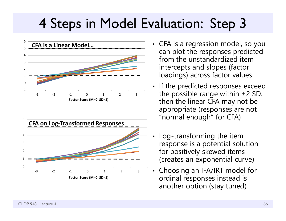



- CFA is a regression model, so you can plot the responses predicted from the unstandardized item intercepts and slopes (factor loadings) across factor values
- • If the predicted responses exceed the possible range within  $\pm 2$  SD, then the linear CFA may not be appropriate (responses are not "normal enough" for CFA)
- • Log-transforming the item response is a potential solution for positively skewed items (creates an exponential curve)
- • Choosing an IFA/IRT model for ordinal responses instead is another option (stay tuned)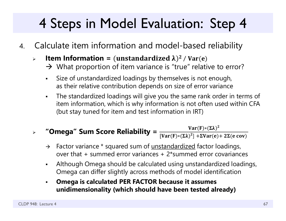- 4. Calculate item information and model-based reliability
	- $\blacktriangleright$  $\triangleright$  **Item Information =** (unstandardized  $\lambda$ )<sup>2</sup> / Var(e)
		- $\rightarrow$  What proportion of item variance is "true" relative to error?
		- $\blacksquare$  Size of unstandardized loadings by themselves is not enough, as their relative contribution depends on size of error varianc e
		- $\blacksquare$  The standardized loadings will give you the same rank order in terms of item information, which is why information is not often used within CFA (but stay tuned for item and test information in IRT)

#### $\blacktriangleright$ **"Omega" Sum Score Reliability =**  $\frac{\text{Var}(F) * (\Sigma \lambda)^2}{[\text{Var}(F) * (\Sigma \lambda)^2] + \Sigma \text{Var}(e) + 2\Sigma(e \text{ cov})}$

- $\rightarrow$ Factor variance \* squared sum of unstandardized factor loadings, over that + summed error variances + 2\*summed error covariances
- $\blacksquare$  Although Omega should be calculated using unstandardized loadings, Omega can differ slightly across methods of model identification
- $\blacksquare$  **Omega is calculated PER FACTOR because it assumes unidimensionality (which should have been tested already)**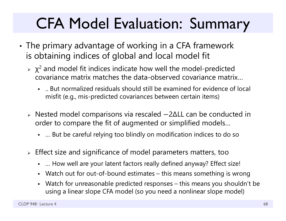# CFA Model Evaluation: Summary

- • The primary advantage of working in a CFA framework is obtaining indices of global and local model fit
	- $\rightarrow$   $\chi^2$  and model fit indices indicate how well the model-predicted covariance matrix matches the data-observed covariance matrix…
		- .. But normalized residuals should still be examined for evidence of local misfit (e.g., mis-predicted covariances between certain items)
	- Nested model comparisons via rescaled െ2ΔLL can be conducted in order to compare the fit of augmented or simplified models…
		- … But be careful relying too blindly on modification indices to do so
	- $\triangleright$  Effect size and significance of model parameters matters, too
		- … How well are your latent factors really defined anyway? Effect size!
		- Watch out for out-of-bound estimates – this means something is wrong
		- Watch for unreasonable predicted responses this means you shouldn't be using a linear slope CFA model (so you need a nonlinear slope model)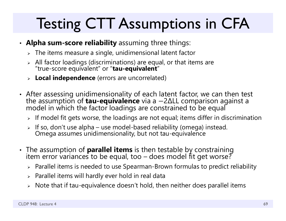# Testing CTT Assumptions in CFA

- **Alpha sum-score reliability** assuming three things:
	- $\triangleright\;$  The items measure a single, unidimensional latent factor
	- All factor loadings (discriminations) are equal, or that items are "true-score equivalent" or "**tau-equivalent** "
	- **Local independence** (errors are uncorrelated)
- After assessing unidimensionality of each latent factor, we can then test<br>the assumption of **tau-equivalence** via a —2ΔLL comparison against a the assumption of **tau-equivalence** via a —2ΔLL comparison against a<br>model in which the factor loadings are constrained to be equal
	- $\triangleright$  If model fit gets worse, the loadings are not equal; items differ in discrimination
	- If so, don't use alpha use model-based reliability (omega) instead. Omega assumes unidimensionality, but not tau-equivalence
- The assumption of **parallel items** is then testable by constraining The assumption of **parallel items** is then testable by constraining item error variances to be equal, too – does model fit get worse ?
	- $\triangleright$  Parallel items is needed to use Spearman-Brown formulas to predict reliability
	- $\triangleright$  Parallel items will hardly ever hold in real data
	- $\triangleright$   $\,$  Note that if tau-equivalence doesn't hold, then neither does parallel items